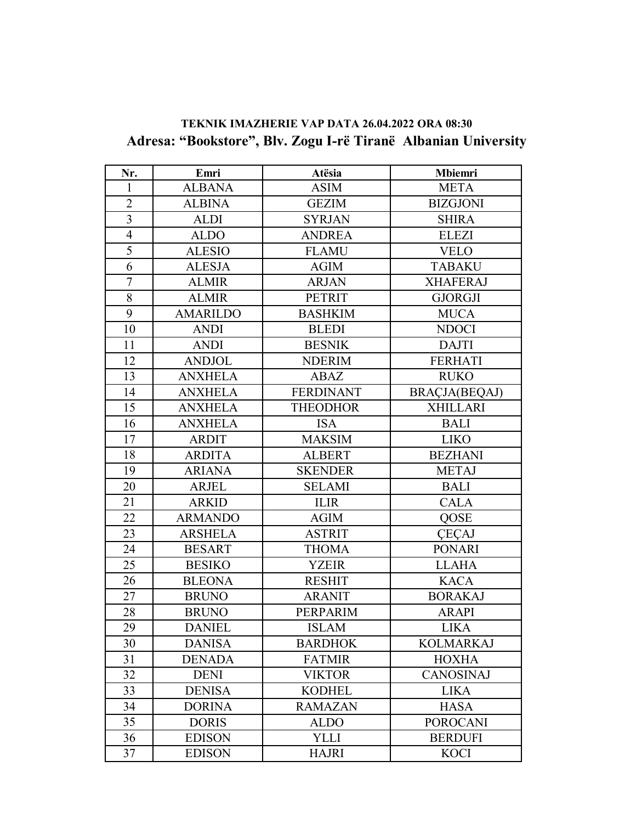| Nr.            | Emri            | Atësia           | <b>Mbiemri</b>       |
|----------------|-----------------|------------------|----------------------|
| $\mathbf{1}$   | <b>ALBANA</b>   | <b>ASIM</b>      | <b>META</b>          |
| $\overline{2}$ | <b>ALBINA</b>   | <b>GEZIM</b>     | <b>BIZGJONI</b>      |
| $\overline{3}$ | <b>ALDI</b>     | <b>SYRJAN</b>    | <b>SHIRA</b>         |
| $\overline{4}$ | <b>ALDO</b>     | <b>ANDREA</b>    | <b>ELEZI</b>         |
| 5              | <b>ALESIO</b>   | <b>FLAMU</b>     | <b>VELO</b>          |
| 6              | <b>ALESJA</b>   | <b>AGIM</b>      | <b>TABAKU</b>        |
| $\tau$         | <b>ALMIR</b>    | <b>ARJAN</b>     | <b>XHAFERAJ</b>      |
| 8              | <b>ALMIR</b>    | <b>PETRIT</b>    | <b>GJORGJI</b>       |
| 9              | <b>AMARILDO</b> | <b>BASHKIM</b>   | <b>MUCA</b>          |
| 10             | <b>ANDI</b>     | <b>BLEDI</b>     | <b>NDOCI</b>         |
| 11             | <b>ANDI</b>     | <b>BESNIK</b>    | <b>DAJTI</b>         |
| 12             | <b>ANDJOL</b>   | <b>NDERIM</b>    | <b>FERHATI</b>       |
| 13             | <b>ANXHELA</b>  | <b>ABAZ</b>      | <b>RUKO</b>          |
| 14             | <b>ANXHELA</b>  | <b>FERDINANT</b> | <b>BRACJA(BEQAJ)</b> |
| 15             | <b>ANXHELA</b>  | <b>THEODHOR</b>  | <b>XHILLARI</b>      |
| 16             | <b>ANXHELA</b>  | <b>ISA</b>       | <b>BALI</b>          |
| 17             | <b>ARDIT</b>    | <b>MAKSIM</b>    | <b>LIKO</b>          |
| 18             | <b>ARDITA</b>   | <b>ALBERT</b>    | <b>BEZHANI</b>       |
| 19             | <b>ARIANA</b>   | <b>SKENDER</b>   | <b>METAJ</b>         |
| 20             | <b>ARJEL</b>    | <b>SELAMI</b>    | <b>BALI</b>          |
| 21             | <b>ARKID</b>    | <b>ILIR</b>      | <b>CALA</b>          |
| 22             | <b>ARMANDO</b>  | <b>AGIM</b>      | QOSE                 |
| 23             | <b>ARSHELA</b>  | <b>ASTRIT</b>    | <b>CECAJ</b>         |
| 24             | <b>BESART</b>   | <b>THOMA</b>     | <b>PONARI</b>        |
| 25             | <b>BESIKO</b>   | <b>YZEIR</b>     | <b>LLAHA</b>         |
| 26             | <b>BLEONA</b>   | <b>RESHIT</b>    | <b>KACA</b>          |
| 27             | <b>BRUNO</b>    | <b>ARANIT</b>    | <b>BORAKAJ</b>       |
| 28             | <b>BRUNO</b>    | PERPARIM         | <b>ARAPI</b>         |
| 29             | <b>DANIEL</b>   | ISLAM            | <b>LIKA</b>          |
| 30             | <b>DANISA</b>   | <b>BARDHOK</b>   | <b>KOLMARKAJ</b>     |
| 31             | <b>DENADA</b>   | <b>FATMIR</b>    | <b>HOXHA</b>         |
| 32             | <b>DENI</b>     | <b>VIKTOR</b>    | <b>CANOSINAJ</b>     |
| 33             | <b>DENISA</b>   | <b>KODHEL</b>    | <b>LIKA</b>          |
| 34             | <b>DORINA</b>   | <b>RAMAZAN</b>   | <b>HASA</b>          |
| 35             | <b>DORIS</b>    | <b>ALDO</b>      | <b>POROCANI</b>      |
| 36             | <b>EDISON</b>   | <b>YLLI</b>      | <b>BERDUFI</b>       |
| 37             | <b>EDISON</b>   | <b>HAJRI</b>     | <b>KOCI</b>          |

## **TEKNIK IMAZHERIE VAP DATA 26.04.2022 ORA 08:30 Adresa: "Bookstore", Blv. Zogu I-rë Tiranë Albanian University**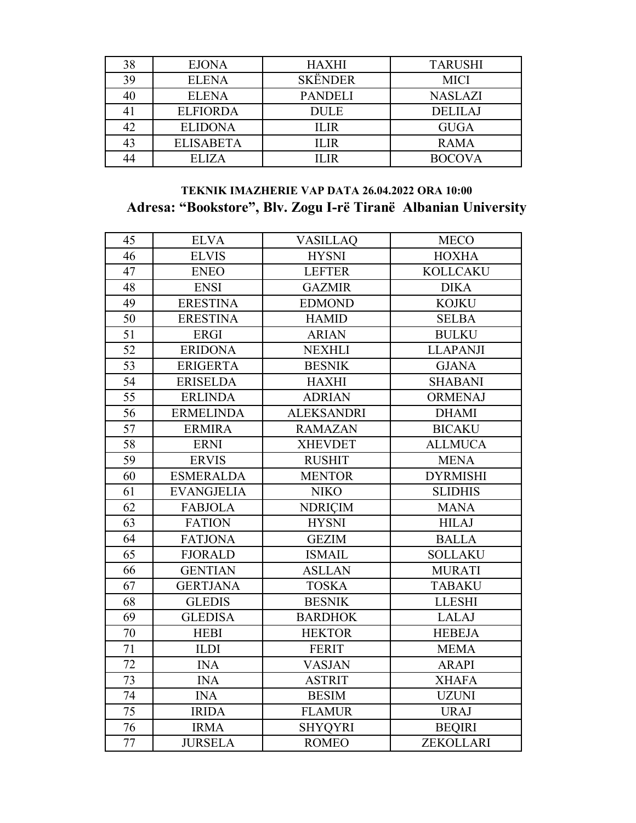| 38 | <b>EJONA</b>     | <b>HAXHI</b>   | <b>TARUSHI</b> |
|----|------------------|----------------|----------------|
| 39 | <b>ELENA</b>     | <b>SKËNDER</b> | MICI           |
| 40 | <b>ELENA</b>     | <b>PANDELI</b> | <b>NASLAZI</b> |
| 41 | <b>ELFIORDA</b>  | <b>DULE</b>    | <b>DELILAJ</b> |
| 42 | <b>ELIDONA</b>   | <b>ILIR</b>    | <b>GUGA</b>    |
| 43 | <b>ELISABETA</b> | <b>ILIR</b>    | <b>RAMA</b>    |
|    | ELIZA            | ILIR           | <b>BOCOVA</b>  |

## TEKNIK IMAZHERIE VAP DATA 26.04.2022 ORA 10:00 Adresa: "Bookstore", Blv. Zogu I-rë Tiranë Albanian University

| 45 | <b>ELVA</b>       | <b>VASILLAQ</b>   | <b>MECO</b>     |
|----|-------------------|-------------------|-----------------|
| 46 | <b>ELVIS</b>      | <b>HYSNI</b>      | <b>HOXHA</b>    |
| 47 | <b>ENEO</b>       | <b>LEFTER</b>     | <b>KOLLCAKU</b> |
| 48 | <b>ENSI</b>       | <b>GAZMIR</b>     | <b>DIKA</b>     |
| 49 | <b>ERESTINA</b>   | <b>EDMOND</b>     | <b>KOJKU</b>    |
| 50 | <b>ERESTINA</b>   | <b>HAMID</b>      | <b>SELBA</b>    |
| 51 | <b>ERGI</b>       | <b>ARIAN</b>      | <b>BULKU</b>    |
| 52 | <b>ERIDONA</b>    | <b>NEXHLI</b>     | <b>LLAPANJI</b> |
| 53 | <b>ERIGERTA</b>   | <b>BESNIK</b>     | <b>GJANA</b>    |
| 54 | <b>ERISELDA</b>   | <b>HAXHI</b>      | <b>SHABANI</b>  |
| 55 | <b>ERLINDA</b>    | <b>ADRIAN</b>     | <b>ORMENAJ</b>  |
| 56 | <b>ERMELINDA</b>  | <b>ALEKSANDRI</b> | <b>DHAMI</b>    |
| 57 | <b>ERMIRA</b>     | <b>RAMAZAN</b>    | <b>BICAKU</b>   |
| 58 | <b>ERNI</b>       | <b>XHEVDET</b>    | <b>ALLMUCA</b>  |
| 59 | <b>ERVIS</b>      | <b>RUSHIT</b>     | <b>MENA</b>     |
| 60 | <b>ESMERALDA</b>  | <b>MENTOR</b>     | <b>DYRMISHI</b> |
| 61 | <b>EVANGJELIA</b> | <b>NIKO</b>       | <b>SLIDHIS</b>  |
| 62 | <b>FABJOLA</b>    | <b>NDRIÇIM</b>    | <b>MANA</b>     |
| 63 | <b>FATION</b>     | <b>HYSNI</b>      | <b>HILAJ</b>    |
| 64 | <b>FATJONA</b>    | <b>GEZIM</b>      | <b>BALLA</b>    |
| 65 | <b>FJORALD</b>    | <b>ISMAIL</b>     | <b>SOLLAKU</b>  |
| 66 | <b>GENTIAN</b>    | <b>ASLLAN</b>     | <b>MURATI</b>   |
| 67 | <b>GERTJANA</b>   | <b>TOSKA</b>      | <b>TABAKU</b>   |
| 68 | <b>GLEDIS</b>     | <b>BESNIK</b>     | <b>LLESHI</b>   |
| 69 | <b>GLEDISA</b>    | <b>BARDHOK</b>    | LALAJ           |
| 70 | <b>HEBI</b>       | <b>HEKTOR</b>     | <b>HEBEJA</b>   |
| 71 | <b>ILDI</b>       | <b>FERIT</b>      | <b>MEMA</b>     |
| 72 | <b>INA</b>        | <b>VASJAN</b>     | <b>ARAPI</b>    |
| 73 | <b>INA</b>        | <b>ASTRIT</b>     | <b>XHAFA</b>    |
| 74 | <b>INA</b>        | <b>BESIM</b>      | <b>UZUNI</b>    |
| 75 | <b>IRIDA</b>      | <b>FLAMUR</b>     | <b>URAJ</b>     |
| 76 | <b>IRMA</b>       | <b>SHYQYRI</b>    | <b>BEQIRI</b>   |
| 77 | <b>JURSELA</b>    | <b>ROMEO</b>      | ZEKOLLARI       |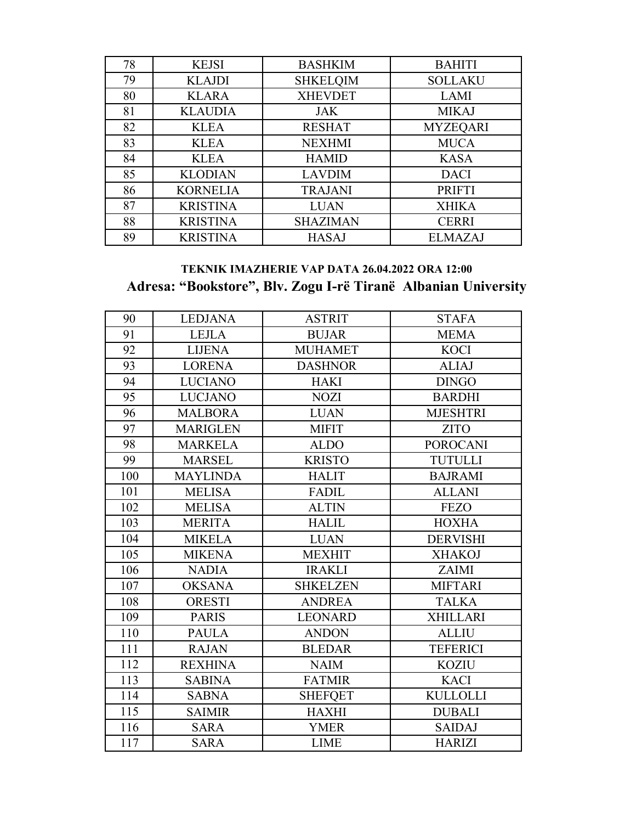| 78 | <b>KEJSI</b>    | <b>BASHKIM</b>  | <b>BAHITI</b>   |
|----|-----------------|-----------------|-----------------|
| 79 | <b>KLAJDI</b>   | <b>SHKELQIM</b> | <b>SOLLAKU</b>  |
| 80 | <b>KLARA</b>    | <b>XHEVDET</b>  | LAMI            |
| 81 | <b>KLAUDIA</b>  | <b>JAK</b>      | <b>MIKAJ</b>    |
| 82 | <b>KLEA</b>     | <b>RESHAT</b>   | <b>MYZEQARI</b> |
| 83 | <b>KLEA</b>     | <b>NEXHMI</b>   | <b>MUCA</b>     |
| 84 | <b>KLEA</b>     | <b>HAMID</b>    | <b>KASA</b>     |
| 85 | <b>KLODIAN</b>  | <b>LAVDIM</b>   | <b>DACI</b>     |
| 86 | <b>KORNELIA</b> | <b>TRAJANI</b>  | <b>PRIFTI</b>   |
| 87 | <b>KRISTINA</b> | <b>LUAN</b>     | <b>XHIKA</b>    |
| 88 | <b>KRISTINA</b> | <b>SHAZIMAN</b> | <b>CERRI</b>    |
| 89 | <b>KRISTINA</b> | <b>HASAJ</b>    | <b>ELMAZAJ</b>  |

## TEKNIK IMAZHERIE VAP DATA 26.04.2022 ORA 12:00 Adresa: "Bookstore", Blv. Zogu I-rë Tiranë Albanian University

| 90  | <b>LEDJANA</b>  | <b>ASTRIT</b>   | <b>STAFA</b>    |
|-----|-----------------|-----------------|-----------------|
| 91  | <b>LEJLA</b>    | <b>BUJAR</b>    | <b>MEMA</b>     |
| 92  | <b>LIJENA</b>   | <b>MUHAMET</b>  | <b>KOCI</b>     |
| 93  | <b>LORENA</b>   | <b>DASHNOR</b>  | <b>ALIAJ</b>    |
| 94  | <b>LUCIANO</b>  | <b>HAKI</b>     | <b>DINGO</b>    |
| 95  | <b>LUCJANO</b>  | <b>NOZI</b>     | <b>BARDHI</b>   |
| 96  | <b>MALBORA</b>  | <b>LUAN</b>     | <b>MJESHTRI</b> |
| 97  | <b>MARIGLEN</b> | <b>MIFIT</b>    | <b>ZITO</b>     |
| 98  | <b>MARKELA</b>  | <b>ALDO</b>     | <b>POROCANI</b> |
| 99  | <b>MARSEL</b>   | <b>KRISTO</b>   | <b>TUTULLI</b>  |
| 100 | <b>MAYLINDA</b> | <b>HALIT</b>    | <b>BAJRAMI</b>  |
| 101 | <b>MELISA</b>   | <b>FADIL</b>    | <b>ALLANI</b>   |
| 102 | <b>MELISA</b>   | <b>ALTIN</b>    | <b>FEZO</b>     |
| 103 | <b>MERITA</b>   | <b>HALIL</b>    | <b>HOXHA</b>    |
| 104 | <b>MIKELA</b>   | <b>LUAN</b>     | <b>DERVISHI</b> |
| 105 | <b>MIKENA</b>   | <b>MEXHIT</b>   | <b>XHAKOJ</b>   |
| 106 | <b>NADIA</b>    | <b>IRAKLI</b>   | <b>ZAIMI</b>    |
| 107 | <b>OKSANA</b>   | <b>SHKELZEN</b> | <b>MIFTARI</b>  |
| 108 | <b>ORESTI</b>   | <b>ANDREA</b>   | <b>TALKA</b>    |
| 109 | <b>PARIS</b>    | <b>LEONARD</b>  | <b>XHILLARI</b> |
| 110 | <b>PAULA</b>    | <b>ANDON</b>    | <b>ALLIU</b>    |
| 111 | <b>RAJAN</b>    | <b>BLEDAR</b>   | <b>TEFERICI</b> |
| 112 | <b>REXHINA</b>  | <b>NAIM</b>     | <b>KOZIU</b>    |
| 113 | <b>SABINA</b>   | <b>FATMIR</b>   | <b>KACI</b>     |
| 114 | <b>SABNA</b>    | <b>SHEFQET</b>  | <b>KULLOLLI</b> |
| 115 | <b>SAIMIR</b>   | <b>HAXHI</b>    | <b>DUBALI</b>   |
| 116 | <b>SARA</b>     | <b>YMER</b>     | <b>SAIDAJ</b>   |
| 117 | <b>SARA</b>     | <b>LIME</b>     | <b>HARIZI</b>   |